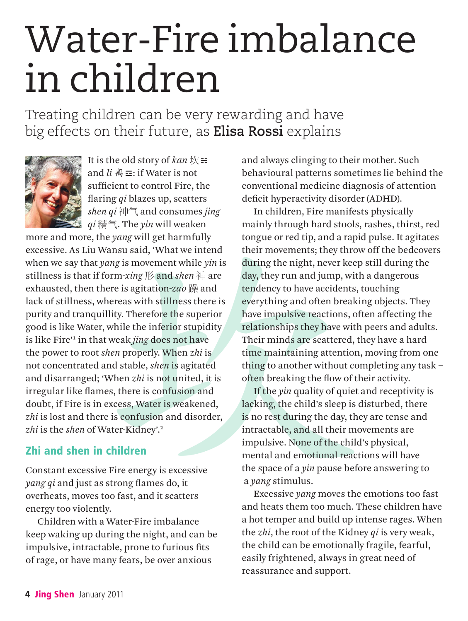# Water-Fire imbalance in children

Treating children can be very rewarding and have big effects on their future, as **Elisa Rossi** explains



It is the old story of *kan*  $\frac{1}{X}$  $\equiv$ and *li* 离☲: if Water is not sufficient to control Fire, the flaring *qi* blazes up, scatters *shen qi* 神气 and consumes *jing qi* 精气. The *yin* will weaken

the *yang* will get harmfully<br>
vansu said, 'What we intend<br>
their movements; they throw<br> *bere is agitation-zao*  $\frac{m}{m}$  and *shen*  $\frac{m}{m}$  are<br>
form *xing*  $\frac{m}{m}$  and *shen*  $\frac{m}{m}$  are<br>
there is agitation-*zao* more and more, the *yang* will get harmfully excessive. As Liu Wansu said, 'What we intend when we say that *yang* is movement while *yin* is stillness is that if form-*xing* 形 and *shen* 神 are exhausted, then there is agitation-*zao* 躁 and lack of stillness, whereas with stillness there is purity and tranquillity. Therefore the superior good is like Water, while the inferior stupidity is like Fire<sup>1</sup> in that weak *jing* does not have the power to root *shen* properly. When *zhi* is not concentrated and stable, *shen* is agitated and disarranged; 'When *zhi* is not united, it is irregular like flames, there is confusion and doubt, if Fire is in excess, Water is weakened, *zhi* is lost and there is confusion and disorder, *zhi* is the *shen* of Water-Kidney'.2

# Zhi and shen in children

Constant excessive Fire energy is excessive *yang qi* and just as strong flames do, it overheats, moves too fast, and it scatters energy too violently.

Children with a Water-Fire imbalance keep waking up during the night, and can be impulsive, intractable, prone to furious fits of rage, or have many fears, be over anxious

and always clinging to their mother. Such behavioural patterns sometimes lie behind the conventional medicine diagnosis of attention deficit hyperactivity disorder (ADHD).

In children, Fire manifests physically mainly through hard stools, rashes, thirst, red tongue or red tip, and a rapid pulse. It agitates their movements; they throw off the bedcovers during the night, never keep still during the day, they run and jump, with a dangerous tendency to have accidents, touching everything and often breaking objects. They have impulsive reactions, often affecting the relationships they have with peers and adults. Their minds are scattered, they have a hard time maintaining attention, moving from one thing to another without completing any task – often breaking the flow of their activity.

If the *yin* quality of quiet and receptivity is lacking, the child's sleep is disturbed, there is no rest during the day, they are tense and intractable, and all their movements are impulsive. None of the child's physical, mental and emotional reactions will have the space of a *yin* pause before answering to a *yang* stimulus.

Excessive *yang* moves the emotions too fast and heats them too much. These children have a hot temper and build up intense rages. When the *zhi*, the root of the Kidney *qi* is very weak, the child can be emotionally fragile, fearful, easily frightened, always in great need of reassurance and support.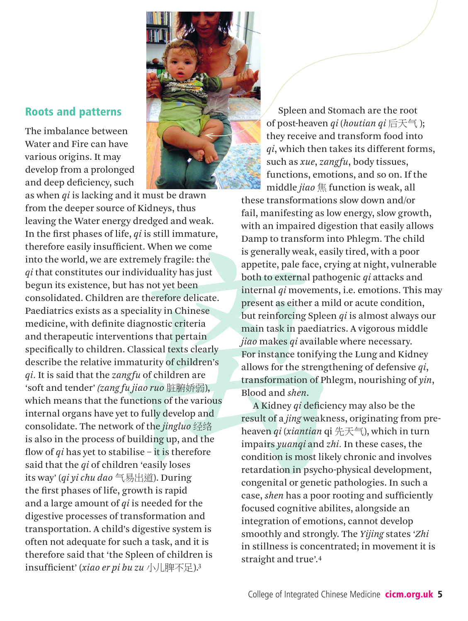# Roots and patterns

The imbalance between Water and Fire can have various origins. It may develop from a prolonged and deep deficiency, such

 $\begin{tabular}{ll} \textbf{a) } \textbf{b} \\ \textbf{c} \\ \textbf{d} \\ \textbf{d} \\ \textbf{e} \\ \textbf{e} \\ \textbf{f} \\ \textbf{a} \\ \textbf{b} \\ \textbf{c} \\ \textbf{e} \\ \textbf{b} \\ \textbf{c} \\ \textbf{b} \\ \textbf{c} \\ \textbf{d} \\ \textbf{b} \\ \textbf{c} \\ \textbf{c} \\ \textbf{b} \\ \textbf{c} \\ \textbf{c} \\ \textbf{d} \\ \textbf{d} \\ \textbf{d} \\ \textbf{c} \\ \textbf{d} \\ \textbf{d} \\ \textbf{d} \\ \text$ as when *qi* is lacking and it must be drawn from the deeper source of Kidneys, thus leaving the Water energy dredged and weak. In the first phases of life, *qi* is still immature, therefore easily insufficient. When we come into the world, we are extremely fragile: the *qi* that constitutes our individuality has just begun its existence, but has not yet been consolidated. Children are therefore delicate. Paediatrics exists as a speciality in Chinese medicine, with definite diagnostic criteria and therapeutic interventions that pertain specifically to children. Classical texts clearly describe the relative immaturity of children's *qi.* It is said that the *zangfu* of children are 'soft and tender' *(zang fu jiao ruo* 脏腑娇弱), which means that the functions of the various internal organs have yet to fully develop and consolidate. The network of the *jingluo* 经络 is also in the process of building up, and the flow of *qi* has yet to stabilise – it is therefore said that the *qi* of children 'easily loses its way' (*qi yi chu dao* 气易出道). During the first phases of life, growth is rapid and a large amount of *qi* is needed for the digestive processes of transformation and transportation. A child's digestive system is often not adequate for such a task, and it is therefore said that 'the Spleen of children is insufficient' (*xiao er pi bu zu* 小儿脾不足).3

Spleen and Stomach are the root of post-heaven *qi* (*houtian qi* 后天气 ); they receive and transform food into *qi*, which then takes its different forms, such as *xue*, *zangfu*, body tissues, functions, emotions, and so on. If the middle *jiao* 焦 function is weak, all

these transformations slow down and/or fail, manifesting as low energy, slow growth, with an impaired digestion that easily allows Damp to transform into Phlegm. The child is generally weak, easily tired, with a poor appetite, pale face, crying at night, vulnerable both to external pathogenic *qi* attacks and internal *qi* movements, i.e. emotions. This may present as either a mild or acute condition, but reinforcing Spleen *qi* is almost always our main task in paediatrics. A vigorous middle *jiao* makes *qi* available where necessary. For instance tonifying the Lung and Kidney allows for the strengthening of defensive *qi*, transformation of Phlegm, nourishing of *yin*, Blood and *shen*.

A Kidney *qi* deficiency may also be the result of a *jing* weakness, originating from preheaven *qi* (*xiantian* qi 先天气), which in turn impairs *yuanqi* and *zhi.* In these cases, the condition is most likely chronic and involves retardation in psycho-physical development, congenital or genetic pathologies. In such a case, *shen* has a poor rooting and sufficiently focused cognitive abilites, alongside an integration of emotions, cannot develop smoothly and strongly. The *Yijing* states '*Zhi* in stillness is concentrated; in movement it is straight and true'.4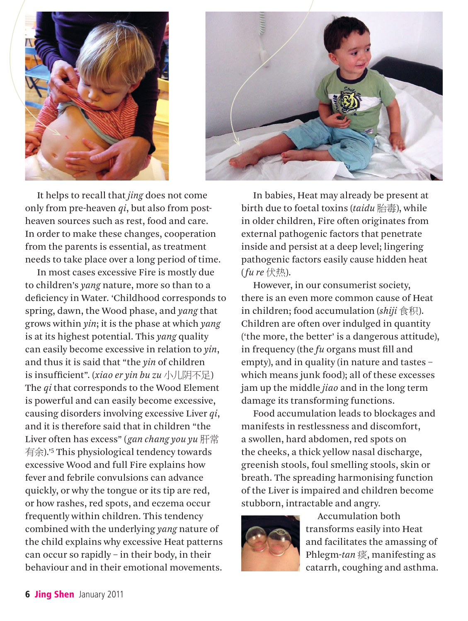



It helps to recall that *jing* does not come only from pre-heaven *qi*, but also from postheaven sources such as rest, food and care. In order to make these changes, cooperation from the parents is essential, as treatment needs to take place over a long period of time.

In most cases excessive Fire is mostly due to children's *yang* nature, more so than to a deficiency in Water. 'Childhood corresponds to spring, dawn, the Wood phase, and *yang* that grows within *yin*; it is the phase at which *yang* is at its highest potential. This *yang* quality can easily become excessive in relation to *yin*, and thus it is said that "the *yin* of children is insufficient". (*xiao er yin bu zu* 小儿阴不足) The *qi* that corresponds to the Wood Element is powerful and can easily become excessive, causing disorders involving excessive Liver *qi*, and it is therefore said that in children "the Liver often has excess" (*gan chang you yu* 肝常 有余).'5 This physiological tendency towards excessive Wood and full Fire explains how fever and febrile convulsions can advance quickly, or why the tongue or its tip are red, or how rashes, red spots, and eczema occur frequently within children. This tendency combined with the underlying *yang* nature of the child explains why excessive Heat patterns can occur so rapidly – in their body, in their behaviour and in their emotional movements.

In babies, Heat may already be present at birth due to foetal toxins (*taidu* 胎毒), while in older children, Fire often originates from external pathogenic factors that penetrate inside and persist at a deep level; lingering pathogenic factors easily cause hidden heat (*fu re* 伏热).

However, in our consumerist society, there is an even more common cause of Heat in children; food accumulation (*shiji* 食积). Children are often over indulged in quantity ('the more, the better' is a dangerous attitude), in frequency (the *fu* organs must fill and empty), and in quality (in nature and tastes – which means junk food); all of these excesses jam up the middle *jiao* and in the long term damage its transforming functions.

Food accumulation leads to blockages and manifests in restlessness and discomfort, a swollen, hard abdomen, red spots on the cheeks, a thick yellow nasal discharge, greenish stools, foul smelling stools, skin or breath. The spreading harmonising function of the Liver is impaired and children become stubborn, intractable and angry.



Accumulation both transforms easily into Heat and facilitates the amassing of Phlegm-*tan* 痰, manifesting as catarrh, coughing and asthma.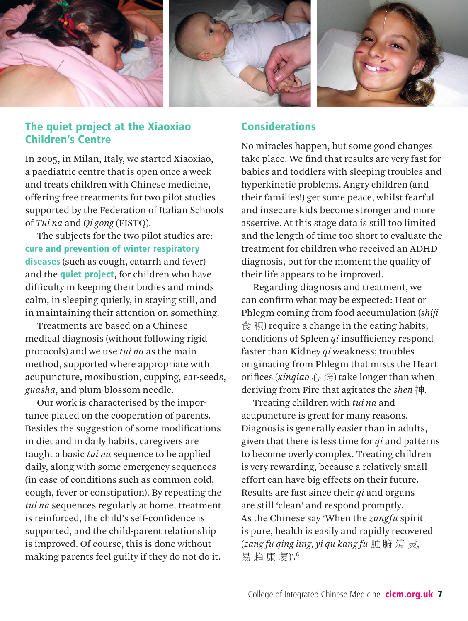

# The quiet project at the Xiaoxiao Children's Centre

In 2005, in Milan, Italy, we started Xiaoxiao, a paediatric centre that is open once a week and treats children with Chinese medicine, offering free treatments for two pilot studies supported by the Federation of Italian Schools of *Tui na* and *Qi gong* (FISTQ).

The subjects for the two pilot studies are: cure and prevention of winter respiratory diseases (such as cough, catarrh and fever) and the **quiet project**, for children who have difficulty in keeping their bodies and minds calm, in sleeping quietly, in staying still, and in maintaining their attention on something.

Treatments are based on a Chinese medical diagnosis (without following rigid protocols) and we use *tui na* as the main method, supported where appropriate with acupuncture, moxibustion, cupping, ear-seeds, *guasha*, and plum-blossom needle.

Our work is characterised by the importance placed on the cooperation of parents. Besides the suggestion of some modifications in diet and in daily habits, caregivers are taught a basic *tui na* sequence to be applied daily, along with some emergency sequences (in case of conditions such as common cold, cough, fever or constipation). By repeating the *tui na* sequences regularly at home, treatment is reinforced, the child's self-confidence is supported, and the child-parent relationship is improved. Of course, this is done without making parents feel guilty if they do not do it.

## Considerations

No miracles happen, but some good changes take place. We find that results are very fast for babies and toddlers with sleeping troubles and hyperkinetic problems. Angry children (and their families!) get some peace, whilst fearful and insecure kids become stronger and more assertive. At this stage data is still too limited and the length of time too short to evaluate the treatment for children who received an ADHD diagnosis, but for the moment the quality of their life appears to be improved.

Regarding diagnosis and treatment, we can confirm what may be expected: Heat or Phlegm coming from food accumulation (*shiji*  食 积) require a change in the eating habits; conditions of Spleen *qi* insufficiency respond faster than Kidney *qi* weakness; troubles originating from Phlegm that mists the Heart orifices (*xinqiao* 心 窍) take longer than when deriving from Fire that agitates the *shen* 神.

Treating children with *tui na* and acupuncture is great for many reasons. Diagnosis is generally easier than in adults, given that there is less time for *qi* and patterns to become overly complex. Treating children is very rewarding, because a relatively small effort can have big effects on their future. Results are fast since their *qi* and organs are still 'clean' and respond promptly. As the Chinese say 'When the *zangfu* spirit is pure, health is easily and rapidly recovered (*zang fu qing ling, yi qu kang fu* 脏 腑 清 灵, 易 趋 康 复)'.6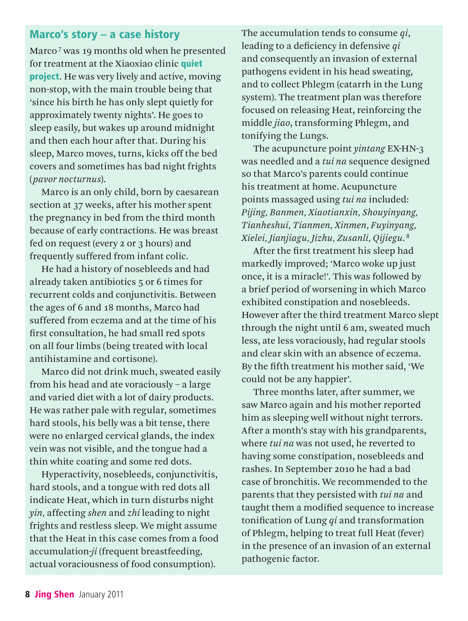#### Marco's story – a case history

Marco<sup>7</sup> was 19 months old when he presented for treatment at the Xiaoxiao clinic quiet project. He was very lively and active, moving non-stop, with the main trouble being that 'since his birth he has only slept quietly for approximately twenty nights'. He goes to sleep easily, but wakes up around midnight and then each hour after that. During his sleep, Marco moves, turns, kicks off the bed covers and sometimes has bad night frights (*pavor nocturnus*).

Marco is an only child, born by caesarean section at 37 weeks, after his mother spent the pregnancy in bed from the third month because of early contractions. He was breast fed on request (every 2 or 3 hours) and frequently suffered from infant colic.

He had a history of nosebleeds and had already taken antibiotics 5 or 6 times for recurrent colds and conjunctivitis. Between the ages of 6 and 18 months, Marco had suffered from eczema and at the time of his first consultation, he had small red spots on all four limbs (being treated with local antihistamine and cortisone).

Marco did not drink much, sweated easily from his head and ate voraciously – a large and varied diet with a lot of dairy products. He was rather pale with regular, sometimes hard stools, his belly was a bit tense, there were no enlarged cervical glands, the index vein was not visible, and the tongue had a thin white coating and some red dots.

Hyperactivity, nosebleeds, conjunctivitis, hard stools, and a tongue with red dots all indicate Heat, which in turn disturbs night *yin,* affecting *shen* and *zhi* leading to night frights and restless sleep. We might assume that the Heat in this case comes from a food accumulation-*ji* (frequent breastfeeding, actual voraciousness of food consumption).

The accumulation tends to consume *qi*, leading to a deficiency in defensive *qi* and consequently an invasion of external pathogens evident in his head sweating, and to collect Phlegm (catarrh in the Lung system). The treatment plan was therefore focused on releasing Heat, reinforcing the middle *jiao*, transforming Phlegm, and tonifying the Lungs.

The acupuncture point *yintang* EX-HN-3 was needled and a *tui na* sequence designed so that Marco's parents could continue his treatment at home. Acupuncture points massaged using *tui na* included: *Pijing, Banmen, Xiaotianxin, Shouyinyang, Tianheshui, Tianmen, Xinmen, Fuyinyang, Xielei, Jianjiagu, Jizhu, Zusanli, Qijiegu*. <sup>8</sup>

After the first treatment his sleep had markedly improved; 'Marco woke up just once, it is a miracle!'. This was followed by a brief period of worsening in which Marco exhibited constipation and nosebleeds. However after the third treatment Marco slept through the night until 6 am, sweated much less, ate less voraciously, had regular stools and clear skin with an absence of eczema. By the fifth treatment his mother said, 'We could not be any happier'.

Three months later, after summer, we saw Marco again and his mother reported him as sleeping well without night terrors. After a month's stay with his grandparents, where *tui na* was not used, he reverted to having some constipation, nosebleeds and rashes. In September 2010 he had a bad case of bronchitis. We recommended to the parents that they persisted with *tui na* and taught them a modified sequence to increase tonification of Lung *qi* and transformation of Phlegm, helping to treat full Heat (fever) in the presence of an invasion of an external pathogenic factor.